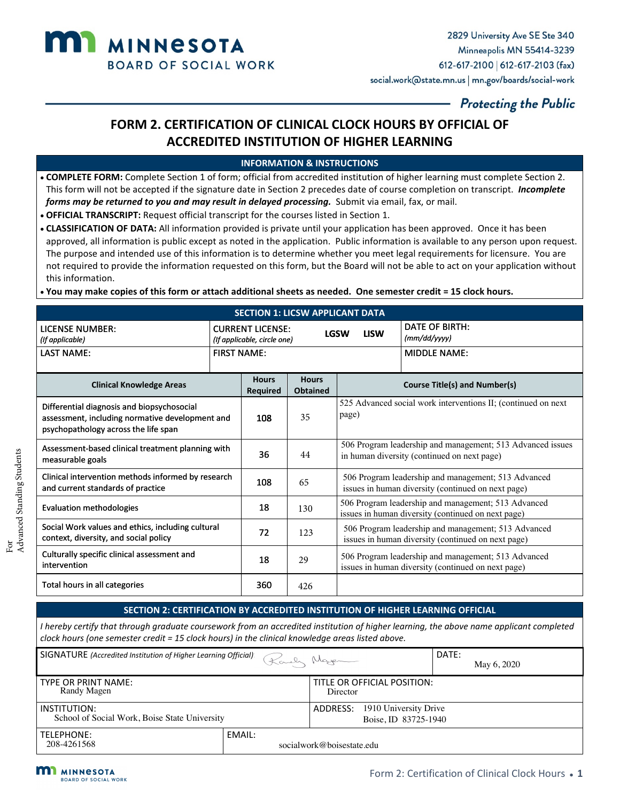

# **FORM 2. CERTIFICATION OF CLINICAL CLOCK HOURS BY OFFICIAL OF ACCREDITED INSTITUTION OF HIGHER LEARNING**

#### **INFORMATION & INSTRUCTIONS**

- **COMPLETE FORM:** Complete Section 1 of form; official from accredited institution of higher learning must complete Section 2. This form will not be accepted if the signature date in Section 2 precedes date of course completion on transcript. *Incomplete forms may be returned to you and may result in delayed processing.* Submit via email, fax, or mail.
- **OFFICIAL TRANSCRIPT:** Request official transcript for the courses listed in Section 1.
- **CLASSIFICATION OF DATA:** All information provided is private until your application has been approved. Once it has been approved, all information is public except as noted in the application. Public information is available to any person upon request. The purpose and intended use of this information is to determine whether you meet legal requirements for licensure. You are not required to provide the information requested on this form, but the Board will not be able to act on your application without this information.

• **You may make copies of this form or attach additional sheets as needed. One semester credit = 15 clock hours.**

| <b>SECTION 1: LICSW APPLICANT DATA</b>                                                                                                |                    |                                                                       |                                 |                                                                                                           |                                                                                                           |  |
|---------------------------------------------------------------------------------------------------------------------------------------|--------------------|-----------------------------------------------------------------------|---------------------------------|-----------------------------------------------------------------------------------------------------------|-----------------------------------------------------------------------------------------------------------|--|
| <b>LICENSE NUMBER:</b><br>(If applicable)                                                                                             |                    | <b>CURRENT LICENSE:</b><br><b>LGSW</b><br>(If applicable, circle one) |                                 | <b>LISW</b>                                                                                               | DATE OF BIRTH:<br>(mm/dd/yyyy)                                                                            |  |
| <b>LAST NAME:</b>                                                                                                                     | <b>FIRST NAME:</b> |                                                                       |                                 |                                                                                                           | <b>MIDDLE NAME:</b>                                                                                       |  |
| <b>Clinical Knowledge Areas</b>                                                                                                       |                    | <b>Hours</b><br>Required                                              | <b>Hours</b><br><b>Obtained</b> |                                                                                                           | <b>Course Title(s) and Number(s)</b>                                                                      |  |
| Differential diagnosis and biopsychosocial<br>assessment, including normative development and<br>psychopathology across the life span |                    | 108                                                                   | 35                              | page)                                                                                                     | 525 Advanced social work interventions II; (continued on next)                                            |  |
| Assessment-based clinical treatment planning with<br>measurable goals                                                                 |                    | 36                                                                    | 44                              | 506 Program leadership and management; 513 Advanced issues<br>in human diversity (continued on next page) |                                                                                                           |  |
| Clinical intervention methods informed by research<br>and current standards of practice                                               |                    | 108                                                                   | 65                              | 506 Program leadership and management; 513 Advanced<br>issues in human diversity (continued on next page) |                                                                                                           |  |
| <b>Evaluation methodologies</b>                                                                                                       |                    | 18                                                                    | 130                             | 506 Program leadership and management; 513 Advanced<br>issues in human diversity (continued on next page) |                                                                                                           |  |
| Social Work values and ethics, including cultural<br>context, diversity, and social policy                                            |                    | 72                                                                    | 123                             | 506 Program leadership and management; 513 Advanced<br>issues in human diversity (continued on next page) |                                                                                                           |  |
| Culturally specific clinical assessment and<br>intervention                                                                           |                    | 18                                                                    | 29                              |                                                                                                           | 506 Program leadership and management; 513 Advanced<br>issues in human diversity (continued on next page) |  |
| Total hours in all categories                                                                                                         |                    | 360                                                                   | 426                             |                                                                                                           |                                                                                                           |  |

#### **SECTION 2: CERTIFICATION BY ACCREDITED INSTITUTION OF HIGHER LEARNING OFFICIAL**

| SIGNATURE (Accredited Institution of Higher Learning Official) |        | Karly Nager                                               | DATE:<br>May 6, 2020 |
|----------------------------------------------------------------|--------|-----------------------------------------------------------|----------------------|
| TYPE OR PRINT NAME:<br>Randy Magen                             |        | TITLE OR OFFICIAL POSITION:<br>Director                   |                      |
| INSTITUTION:<br>School of Social Work, Boise State University  |        | 1910 University Drive<br>ADDRESS:<br>Boise, ID 83725-1940 |                      |
| TELEPHONE:<br>208-4261568                                      | EMAIL: | socialwork@boisestate.edu                                 |                      |



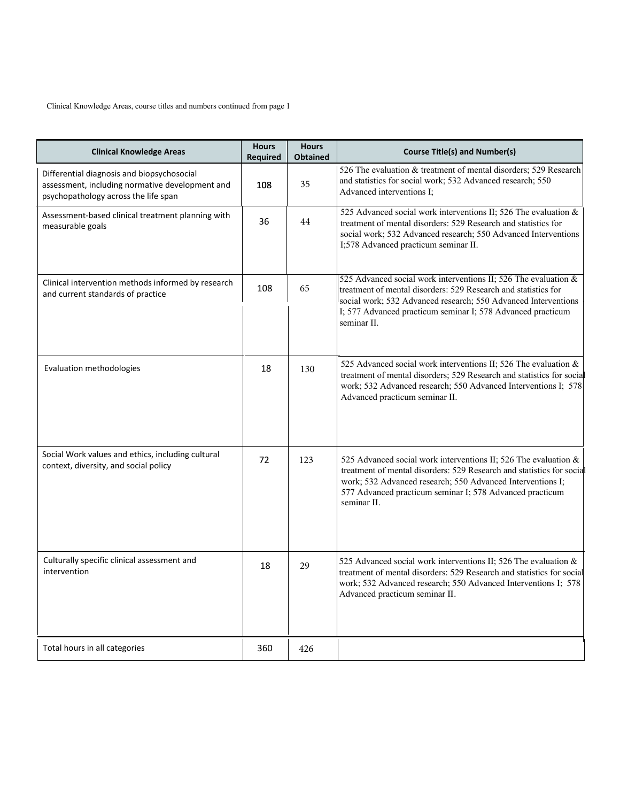Clinical Knowledge Areas, course titles and numbers continued from page 1

| <b>Clinical Knowledge Areas</b>                                                                                                       | <b>Hours</b><br><b>Required</b> | <b>Hours</b><br><b>Obtained</b> | <b>Course Title(s) and Number(s)</b>                                                                                                                                                                                                                                              |
|---------------------------------------------------------------------------------------------------------------------------------------|---------------------------------|---------------------------------|-----------------------------------------------------------------------------------------------------------------------------------------------------------------------------------------------------------------------------------------------------------------------------------|
| Differential diagnosis and biopsychosocial<br>assessment, including normative development and<br>psychopathology across the life span | 108                             | 35                              | 526 The evaluation & treatment of mental disorders; 529 Research<br>and statistics for social work; 532 Advanced research; 550<br>Advanced interventions I;                                                                                                                       |
| Assessment-based clinical treatment planning with<br>measurable goals                                                                 | 36                              | 44                              | 525 Advanced social work interventions II; 526 The evaluation &<br>treatment of mental disorders: 529 Research and statistics for<br>social work; 532 Advanced research; 550 Advanced Interventions<br>I;578 Advanced practicum seminar II.                                       |
| Clinical intervention methods informed by research<br>and current standards of practice                                               | 108                             | 65                              | 525 Advanced social work interventions II; 526 The evaluation &<br>treatment of mental disorders: 529 Research and statistics for<br>social work; 532 Advanced research; 550 Advanced Interventions<br>I; 577 Advanced practicum seminar I; 578 Advanced practicum<br>seminar II. |
| Evaluation methodologies                                                                                                              | 18                              | 130                             | 525 Advanced social work interventions II; 526 The evaluation &<br>treatment of mental disorders; 529 Research and statistics for social<br>work; 532 Advanced research; 550 Advanced Interventions I; 578<br>Advanced practicum seminar II.                                      |
| Social Work values and ethics, including cultural<br>context, diversity, and social policy                                            | 72                              | 123                             | 525 Advanced social work interventions II; 526 The evaluation &<br>treatment of mental disorders: 529 Research and statistics for social<br>work; 532 Advanced research; 550 Advanced Interventions I;<br>577 Advanced practicum seminar I; 578 Advanced practicum<br>seminar II. |
| Culturally specific clinical assessment and<br>intervention                                                                           | 18                              | 29                              | 525 Advanced social work interventions II; 526 The evaluation &<br>treatment of mental disorders: 529 Research and statistics for social<br>work; 532 Advanced research; 550 Advanced Interventions I; 578<br>Advanced practicum seminar II.                                      |
| Total hours in all categories                                                                                                         | 360                             | 426                             |                                                                                                                                                                                                                                                                                   |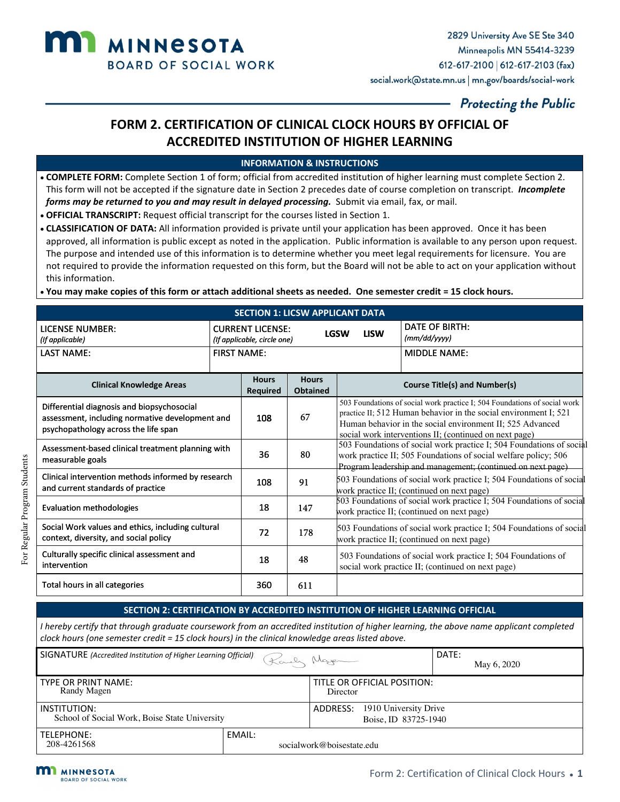

# **FORM 2. CERTIFICATION OF CLINICAL CLOCK HOURS BY OFFICIAL OF ACCREDITED INSTITUTION OF HIGHER LEARNING**

#### **INFORMATION & INSTRUCTIONS**

- **COMPLETE FORM:** Complete Section 1 of form; official from accredited institution of higher learning must complete Section 2. This form will not be accepted if the signature date in Section 2 precedes date of course completion on transcript. *Incomplete forms may be returned to you and may result in delayed processing.* Submit via email, fax, or mail.
- **OFFICIAL TRANSCRIPT:** Request official transcript for the courses listed in Section 1.
- **CLASSIFICATION OF DATA:** All information provided is private until your application has been approved. Once it has been approved, all information is public except as noted in the application. Public information is available to any person upon request. The purpose and intended use of this information is to determine whether you meet legal requirements for licensure. You are not required to provide the information requested on this form, but the Board will not be able to act on your application without this information.

• **You may make copies of this form or attach additional sheets as needed. One semester credit = 15 clock hours.**

| <b>SECTION 1: LICSW APPLICANT DATA</b>                                                                                                |                                                                       |                                 |                                 |             |                                                                                                                                                                                                                                                                      |  |
|---------------------------------------------------------------------------------------------------------------------------------------|-----------------------------------------------------------------------|---------------------------------|---------------------------------|-------------|----------------------------------------------------------------------------------------------------------------------------------------------------------------------------------------------------------------------------------------------------------------------|--|
| <b>LICENSE NUMBER:</b><br>(If applicable)                                                                                             | <b>CURRENT LICENSE:</b><br><b>LGSW</b><br>(If applicable, circle one) |                                 |                                 | <b>LISW</b> | <b>DATE OF BIRTH:</b><br>(mm/dd/yyyy)                                                                                                                                                                                                                                |  |
| <b>LAST NAME:</b>                                                                                                                     | <b>FIRST NAME:</b>                                                    |                                 |                                 |             | <b>MIDDLE NAME:</b>                                                                                                                                                                                                                                                  |  |
| <b>Clinical Knowledge Areas</b>                                                                                                       |                                                                       | <b>Hours</b><br><b>Required</b> | <b>Hours</b><br><b>Obtained</b> |             | <b>Course Title(s) and Number(s)</b>                                                                                                                                                                                                                                 |  |
| Differential diagnosis and biopsychosocial<br>assessment, including normative development and<br>psychopathology across the life span |                                                                       | 108                             | 67                              |             | 503 Foundations of social work practice I; 504 Foundations of social work<br>practice II; 512 Human behavior in the social environment I; 521<br>Human behavior in the social environment II; 525 Advanced<br>social work interventions II; (continued on next page) |  |
| Assessment-based clinical treatment planning with<br>measurable goals                                                                 |                                                                       | 36                              | 80                              |             | 503 Foundations of social work practice I; 504 Foundations of social<br>work practice II; 505 Foundations of social welfare policy; 506<br>Program leadership and management; (continued on next page)                                                               |  |
| Clinical intervention methods informed by research<br>and current standards of practice                                               |                                                                       | 108                             | 91                              |             | 503 Foundations of social work practice I; 504 Foundations of social<br>work practice II; (continued on next page)                                                                                                                                                   |  |
| <b>Evaluation methodologies</b>                                                                                                       |                                                                       | 18                              | 147                             |             | 503 Foundations of social work practice I; 504 Foundations of social<br>work practice II; (continued on next page)                                                                                                                                                   |  |
| Social Work values and ethics, including cultural<br>context, diversity, and social policy                                            |                                                                       | 72                              | 178                             |             | 503 Foundations of social work practice I; 504 Foundations of social<br>work practice II; (continued on next page)                                                                                                                                                   |  |
| Culturally specific clinical assessment and<br>intervention                                                                           |                                                                       | 18                              | 48                              |             | 503 Foundations of social work practice I; 504 Foundations of<br>social work practice II; (continued on next page)                                                                                                                                                   |  |
| Total hours in all categories                                                                                                         |                                                                       | 360                             | 611                             |             |                                                                                                                                                                                                                                                                      |  |

#### **SECTION 2: CERTIFICATION BY ACCREDITED INSTITUTION OF HIGHER LEARNING OFFICIAL**

| SIGNATURE (Accredited Institution of Higher Learning Official) |        | Karly Nager                                               | DATE:<br>May 6, 2020 |
|----------------------------------------------------------------|--------|-----------------------------------------------------------|----------------------|
| <b>TYPE OR PRINT NAME:</b><br>Randy Magen                      |        | TITLE OR OFFICIAL POSITION:<br>Director                   |                      |
| INSTITUTION:<br>School of Social Work, Boise State University  |        | 1910 University Drive<br>ADDRESS:<br>Boise, ID 83725-1940 |                      |
| TELEPHONE:<br>208-4261568                                      | EMAIL: | socialwork@boisestate.edu                                 |                      |



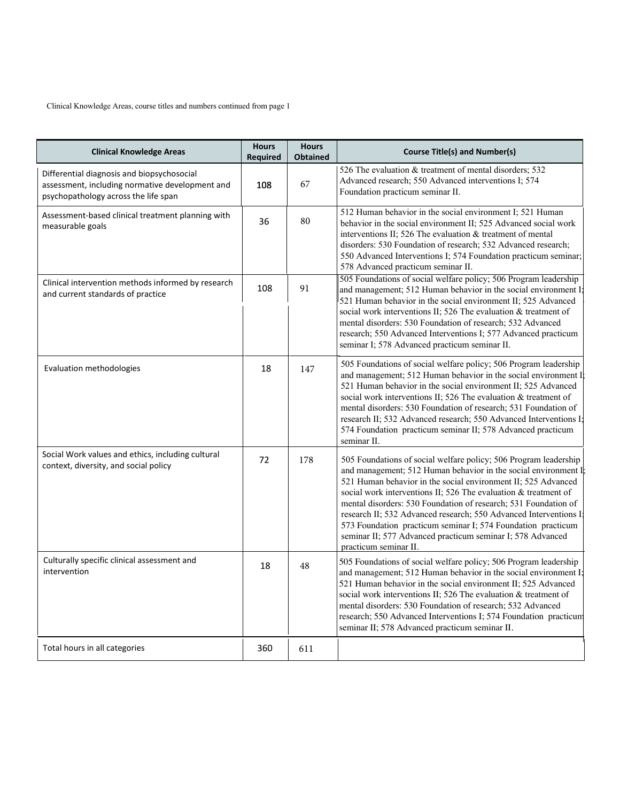Clinical Knowledge Areas, course titles and numbers continued from page 1

| <b>Clinical Knowledge Areas</b>                                                                                                       | <b>Hours</b><br><b>Required</b> | <b>Hours</b><br><b>Obtained</b> | <b>Course Title(s) and Number(s)</b>                                                                                                                                                                                                                                                                                                                                                                                                                                                                                                                                 |
|---------------------------------------------------------------------------------------------------------------------------------------|---------------------------------|---------------------------------|----------------------------------------------------------------------------------------------------------------------------------------------------------------------------------------------------------------------------------------------------------------------------------------------------------------------------------------------------------------------------------------------------------------------------------------------------------------------------------------------------------------------------------------------------------------------|
| Differential diagnosis and biopsychosocial<br>assessment, including normative development and<br>psychopathology across the life span | 108                             | 67                              | 526 The evaluation & treatment of mental disorders; 532<br>Advanced research; 550 Advanced interventions I; 574<br>Foundation practicum seminar II.                                                                                                                                                                                                                                                                                                                                                                                                                  |
| Assessment-based clinical treatment planning with<br>measurable goals                                                                 | 36                              | 80                              | 512 Human behavior in the social environment I; 521 Human<br>behavior in the social environment II; 525 Advanced social work<br>interventions II; 526 The evaluation & treatment of mental<br>disorders: 530 Foundation of research; 532 Advanced research;<br>550 Advanced Interventions I; 574 Foundation practicum seminar;<br>578 Advanced practicum seminar II.                                                                                                                                                                                                 |
| Clinical intervention methods informed by research<br>and current standards of practice                                               | 108                             | 91                              | 505 Foundations of social welfare policy; 506 Program leadership<br>and management; 512 Human behavior in the social environment $I$ ;<br>521 Human behavior in the social environment II; 525 Advanced<br>social work interventions II; 526 The evaluation & treatment of<br>mental disorders: 530 Foundation of research; 532 Advanced<br>research; 550 Advanced Interventions I; 577 Advanced practicum<br>seminar I; 578 Advanced practicum seminar II.                                                                                                          |
| <b>Evaluation methodologies</b>                                                                                                       | 18                              | 147                             | 505 Foundations of social welfare policy; 506 Program leadership<br>and management; 512 Human behavior in the social environment I<br>521 Human behavior in the social environment II; 525 Advanced<br>social work interventions II; 526 The evaluation & treatment of<br>mental disorders: 530 Foundation of research; 531 Foundation of<br>research II; 532 Advanced research; 550 Advanced Interventions I;<br>574 Foundation practicum seminar II; 578 Advanced practicum<br>seminar II.                                                                         |
| Social Work values and ethics, including cultural<br>context, diversity, and social policy                                            | 72                              | 178                             | 505 Foundations of social welfare policy; 506 Program leadership<br>and management; 512 Human behavior in the social environment I<br>521 Human behavior in the social environment II; 525 Advanced<br>social work interventions II; 526 The evaluation & treatment of<br>mental disorders: 530 Foundation of research; 531 Foundation of<br>research II; 532 Advanced research; 550 Advanced Interventions I<br>573 Foundation practicum seminar I; 574 Foundation practicum<br>seminar II; 577 Advanced practicum seminar I; 578 Advanced<br>practicum seminar II. |
| Culturally specific clinical assessment and<br>intervention                                                                           | 18                              | 48                              | 505 Foundations of social welfare policy; 506 Program leadership<br>and management; 512 Human behavior in the social environment I;<br>521 Human behavior in the social environment II; 525 Advanced<br>social work interventions II; 526 The evaluation & treatment of<br>mental disorders: 530 Foundation of research; 532 Advanced<br>research; 550 Advanced Interventions I; 574 Foundation practicum<br>seminar II; 578 Advanced practicum seminar II.                                                                                                          |
| Total hours in all categories                                                                                                         | 360                             | 611                             |                                                                                                                                                                                                                                                                                                                                                                                                                                                                                                                                                                      |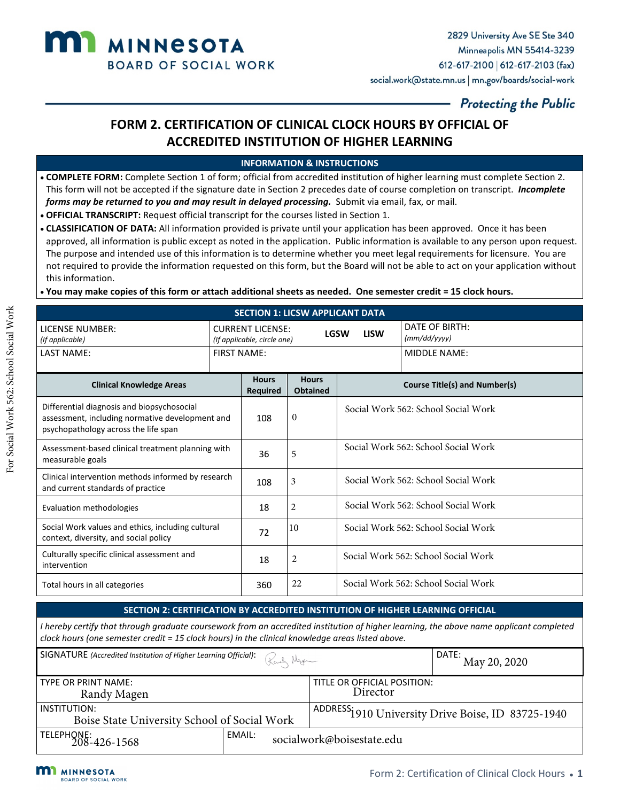

# **FORM 2. CERTIFICATION OF CLINICAL CLOCK HOURS BY OFFICIAL OF ACCREDITED INSTITUTION OF HIGHER LEARNING**

### **INFORMATION & INSTRUCTIONS**

- **COMPLETE FORM:** Complete Section 1 of form; official from accredited institution of higher learning must complete Section 2. This form will not be accepted if the signature date in Section 2 precedes date of course completion on transcript. *Incomplete forms may be returned to you and may result in delayed processing.* Submit via email, fax, or mail.
- **OFFICIAL TRANSCRIPT:** Request official transcript for the courses listed in Section 1.
- **CLASSIFICATION OF DATA:** All information provided is private until your application has been approved. Once it has been approved, all information is public except as noted in the application. Public information is available to any person upon request. The purpose and intended use of this information is to determine whether you meet legal requirements for licensure. You are not required to provide the information requested on this form, but the Board will not be able to act on your application without this information.
- **You may make copies of this form or attach additional sheets as needed. One semester credit = 15 clock hours.**

| <b>SECTION 1: LICSW APPLICANT DATA</b>                                                                                                |                    |                                                                                      |                                 |                                     |                                      |  |
|---------------------------------------------------------------------------------------------------------------------------------------|--------------------|--------------------------------------------------------------------------------------|---------------------------------|-------------------------------------|--------------------------------------|--|
| LICENSE NUMBER:<br>(If applicable)                                                                                                    |                    | <b>CURRENT LICENSE:</b><br><b>LGSW</b><br><b>LISW</b><br>(If applicable, circle one) |                                 |                                     | DATE OF BIRTH:<br>(mm/dd/yyyy)       |  |
| <b>LAST NAME:</b>                                                                                                                     | <b>FIRST NAME:</b> |                                                                                      |                                 |                                     | MIDDLE NAME:                         |  |
| <b>Clinical Knowledge Areas</b>                                                                                                       |                    | <b>Hours</b><br><b>Required</b>                                                      | <b>Hours</b><br><b>Obtained</b> |                                     | <b>Course Title(s) and Number(s)</b> |  |
| Differential diagnosis and biopsychosocial<br>assessment, including normative development and<br>psychopathology across the life span |                    | 108                                                                                  | $\mathbf{0}$                    |                                     | Social Work 562: School Social Work  |  |
| Assessment-based clinical treatment planning with<br>measurable goals                                                                 |                    | 36                                                                                   | 5                               | Social Work 562: School Social Work |                                      |  |
| Clinical intervention methods informed by research<br>and current standards of practice                                               |                    | 108                                                                                  | 3                               | Social Work 562: School Social Work |                                      |  |
| Evaluation methodologies                                                                                                              |                    | 18                                                                                   | 2                               | Social Work 562: School Social Work |                                      |  |
| Social Work values and ethics, including cultural<br>context, diversity, and social policy                                            |                    | 72                                                                                   | 10                              | Social Work 562: School Social Work |                                      |  |
| Culturally specific clinical assessment and<br>intervention                                                                           |                    | 18                                                                                   | 2                               |                                     | Social Work 562: School Social Work  |  |
| Total hours in all categories                                                                                                         |                    | 360                                                                                  | 22                              |                                     | Social Work 562: School Social Work  |  |

### **SECTION 2: CERTIFICATION BY ACCREDITED INSTITUTION OF HIGHER LEARNING OFFICIAL**

| <b>SIGNATURE</b> (Accredited Institution of Higher Learning Official): $\mathbb{R}_{\text{max}}$ Negendian $\mathbb{R}_{\text{max}}$ | $\vert$ DATE: $_{\rm May\,20,\,2020}$ |                             |                                                               |  |
|--------------------------------------------------------------------------------------------------------------------------------------|---------------------------------------|-----------------------------|---------------------------------------------------------------|--|
| TYPE OR PRINT NAME:                                                                                                                  |                                       | TITLE OR OFFICIAL POSITION: |                                                               |  |
| Randy Magen                                                                                                                          |                                       | Director                    |                                                               |  |
| INSTITUTION:                                                                                                                         |                                       |                             | ADDRESS <sub>1910</sub> University Drive Boise, ID 83725-1940 |  |
| Boise State University School of Social Work                                                                                         |                                       |                             |                                                               |  |
| TELEPHONE:<br>208-426-1568                                                                                                           | EMAIL:<br>socialwork@boisestate.edu   |                             |                                                               |  |

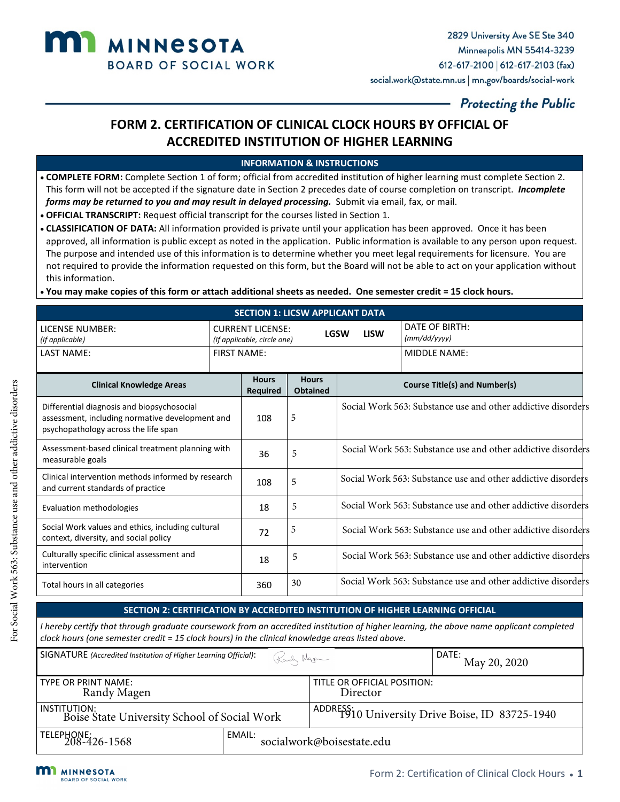

# **FORM 2. CERTIFICATION OF CLINICAL CLOCK HOURS BY OFFICIAL OF ACCREDITED INSTITUTION OF HIGHER LEARNING**

### **INFORMATION & INSTRUCTIONS**

- **COMPLETE FORM:** Complete Section 1 of form; official from accredited institution of higher learning must complete Section 2. This form will not be accepted if the signature date in Section 2 precedes date of course completion on transcript. *Incomplete forms may be returned to you and may result in delayed processing.* Submit via email, fax, or mail.
- **OFFICIAL TRANSCRIPT:** Request official transcript for the courses listed in Section 1.
- **CLASSIFICATION OF DATA:** All information provided is private until your application has been approved. Once it has been approved, all information is public except as noted in the application. Public information is available to any person upon request. The purpose and intended use of this information is to determine whether you meet legal requirements for licensure. You are not required to provide the information requested on this form, but the Board will not be able to act on your application without this information.
- **You may make copies of this form or attach additional sheets as needed. One semester credit = 15 clock hours.**

| <b>SECTION 1: LICSW APPLICANT DATA</b>                                                                                                |                    |                                                                       |                                 |                                                              |                                                              |  |
|---------------------------------------------------------------------------------------------------------------------------------------|--------------------|-----------------------------------------------------------------------|---------------------------------|--------------------------------------------------------------|--------------------------------------------------------------|--|
| <b>LICENSE NUMBER:</b><br>(If applicable)                                                                                             |                    | <b>CURRENT LICENSE:</b><br><b>LGSW</b><br>(If applicable, circle one) |                                 | <b>LISW</b>                                                  | DATE OF BIRTH:<br>(mm/dd/yyyy)                               |  |
| LAST NAME:                                                                                                                            | <b>FIRST NAME:</b> |                                                                       |                                 |                                                              | <b>MIDDLE NAME:</b>                                          |  |
| <b>Clinical Knowledge Areas</b>                                                                                                       |                    | <b>Hours</b><br><b>Required</b>                                       | <b>Hours</b><br><b>Obtained</b> |                                                              | <b>Course Title(s) and Number(s)</b>                         |  |
| Differential diagnosis and biopsychosocial<br>assessment, including normative development and<br>psychopathology across the life span |                    | 108                                                                   | 5                               |                                                              | Social Work 563: Substance use and other addictive disorders |  |
| Assessment-based clinical treatment planning with<br>measurable goals                                                                 |                    | 36                                                                    | 5                               | Social Work 563: Substance use and other addictive disorders |                                                              |  |
| Clinical intervention methods informed by research<br>and current standards of practice                                               |                    | 108                                                                   | 5                               |                                                              | Social Work 563: Substance use and other addictive disorders |  |
| Evaluation methodologies                                                                                                              |                    | 18                                                                    | 5                               |                                                              | Social Work 563: Substance use and other addictive disorders |  |
| Social Work values and ethics, including cultural<br>context, diversity, and social policy                                            |                    | 72                                                                    | 5                               |                                                              | Social Work 563: Substance use and other addictive disorders |  |
| Culturally specific clinical assessment and<br>intervention                                                                           |                    | 18                                                                    | 5                               |                                                              | Social Work 563: Substance use and other addictive disorders |  |
| Total hours in all categories                                                                                                         |                    | 360                                                                   | 30                              |                                                              | Social Work 563: Substance use and other addictive disorders |  |

### **SECTION 2: CERTIFICATION BY ACCREDITED INSTITUTION OF HIGHER LEARNING OFFICIAL**

| SIGNATURE (Accredited Institution of Higher Learning Official): | Karly Nager                         |                                         | DATE:<br>May 20, 2020                             |  |
|-----------------------------------------------------------------|-------------------------------------|-----------------------------------------|---------------------------------------------------|--|
| <b>TYPE OR PRINT NAME:</b><br>Randy Magen                       |                                     | TITLE OR OFFICIAL POSITION:<br>Director |                                                   |  |
| INSTITUTION:<br>Boise State University School of Social Work    |                                     |                                         | ADDRESS: 10 University Drive Boise, ID 83725-1940 |  |
| TELEPHONE:<br>  TELEPHONE:<br>208-426-1568                      | EMAIL:<br>socialwork@boisestate.edu |                                         |                                                   |  |

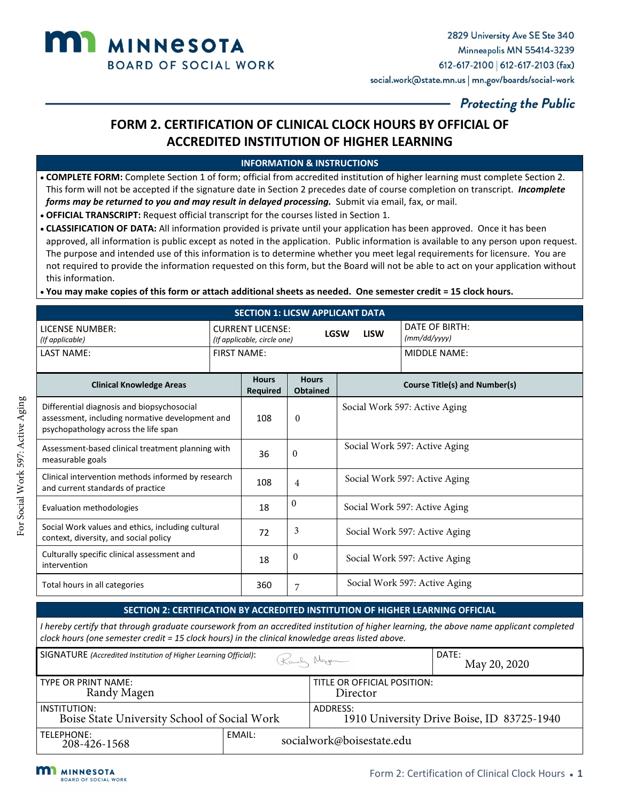

# **FORM 2. CERTIFICATION OF CLINICAL CLOCK HOURS BY OFFICIAL OF ACCREDITED INSTITUTION OF HIGHER LEARNING**

#### **INFORMATION & INSTRUCTIONS**

- **COMPLETE FORM:** Complete Section 1 of form; official from accredited institution of higher learning must complete Section 2. This form will not be accepted if the signature date in Section 2 precedes date of course completion on transcript. *Incomplete forms may be returned to you and may result in delayed processing.* Submit via email, fax, or mail.
- **OFFICIAL TRANSCRIPT:** Request official transcript for the courses listed in Section 1.
- **CLASSIFICATION OF DATA:** All information provided is private until your application has been approved. Once it has been approved, all information is public except as noted in the application. Public information is available to any person upon request. The purpose and intended use of this information is to determine whether you meet legal requirements for licensure. You are not required to provide the information requested on this form, but the Board will not be able to act on your application without this information.
- **You may make copies of this form or attach additional sheets as needed. One semester credit = 15 clock hours.**

| <b>SECTION 1: LICSW APPLICANT DATA</b>                                                                                                |                    |                                                                                      |                                 |                               |                                      |  |
|---------------------------------------------------------------------------------------------------------------------------------------|--------------------|--------------------------------------------------------------------------------------|---------------------------------|-------------------------------|--------------------------------------|--|
| <b>LICENSE NUMBER:</b><br>(If applicable)                                                                                             |                    | <b>CURRENT LICENSE:</b><br><b>LGSW</b><br><b>LISW</b><br>(If applicable, circle one) |                                 |                               | DATE OF BIRTH:<br>(mm/dd/yyyy)       |  |
| <b>LAST NAME:</b>                                                                                                                     | <b>FIRST NAME:</b> |                                                                                      |                                 |                               | MIDDLE NAME:                         |  |
| <b>Clinical Knowledge Areas</b>                                                                                                       |                    | <b>Hours</b><br><b>Required</b>                                                      | <b>Hours</b><br><b>Obtained</b> |                               | <b>Course Title(s) and Number(s)</b> |  |
| Differential diagnosis and biopsychosocial<br>assessment, including normative development and<br>psychopathology across the life span |                    | 108                                                                                  | $\Omega$                        |                               | Social Work 597: Active Aging        |  |
| Assessment-based clinical treatment planning with<br>measurable goals                                                                 |                    | 36                                                                                   | $\theta$                        | Social Work 597: Active Aging |                                      |  |
| Clinical intervention methods informed by research<br>and current standards of practice                                               |                    | 108                                                                                  | 4                               | Social Work 597: Active Aging |                                      |  |
| Evaluation methodologies                                                                                                              |                    | 18                                                                                   | $\theta$                        | Social Work 597: Active Aging |                                      |  |
| Social Work values and ethics, including cultural<br>context, diversity, and social policy                                            |                    | 72                                                                                   | 3                               | Social Work 597: Active Aging |                                      |  |
| Culturally specific clinical assessment and<br>intervention                                                                           |                    | 18                                                                                   | $\theta$                        |                               | Social Work 597: Active Aging        |  |
| Total hours in all categories                                                                                                         |                    | 360                                                                                  | 7                               |                               | Social Work 597: Active Aging        |  |

#### **SECTION 2: CERTIFICATION BY ACCREDITED INSTITUTION OF HIGHER LEARNING OFFICIAL**

| SIGNATURE (Accredited Institution of Higher Learning Official): |                                     | Karly Nager                             | DATE:<br>May 20, 2020                      |  |
|-----------------------------------------------------------------|-------------------------------------|-----------------------------------------|--------------------------------------------|--|
| <b>TYPE OR PRINT NAME:</b><br>Randy Magen                       |                                     | TITLE OR OFFICIAL POSITION:<br>Director |                                            |  |
| l INSTITUTION:<br>Boise State University School of Social Work  |                                     | ADDRESS:                                | 1910 University Drive Boise, ID 83725-1940 |  |
| TELEPHONE:<br>208-426-1568                                      | EMAIL:<br>socialwork@boisestate.edu |                                         |                                            |  |



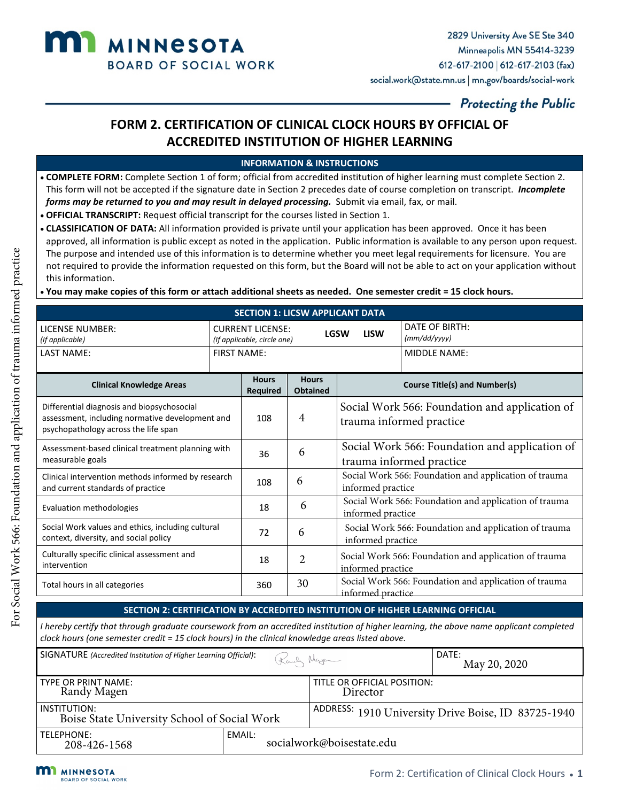

# **FORM 2. CERTIFICATION OF CLINICAL CLOCK HOURS BY OFFICIAL OF ACCREDITED INSTITUTION OF HIGHER LEARNING**

### **INFORMATION & INSTRUCTIONS**

- **COMPLETE FORM:** Complete Section 1 of form; official from accredited institution of higher learning must complete Section 2. This form will not be accepted if the signature date in Section 2 precedes date of course completion on transcript. *Incomplete forms may be returned to you and may result in delayed processing.* Submit via email, fax, or mail.
- **OFFICIAL TRANSCRIPT:** Request official transcript for the courses listed in Section 1.
- **CLASSIFICATION OF DATA:** All information provided is private until your application has been approved. Once it has been approved, all information is public except as noted in the application. Public information is available to any person upon request. The purpose and intended use of this information is to determine whether you meet legal requirements for licensure. You are not required to provide the information requested on this form, but the Board will not be able to act on your application without this information.
- **You may make copies of this form or attach additional sheets as needed. One semester credit = 15 clock hours.**

| <b>SECTION 1: LICSW APPLICANT DATA</b>                                                                                                |                                                                       |                    |                                                                                 |                                                                            |              |
|---------------------------------------------------------------------------------------------------------------------------------------|-----------------------------------------------------------------------|--------------------|---------------------------------------------------------------------------------|----------------------------------------------------------------------------|--------------|
| LICENSE NUMBER:<br>(If applicable)                                                                                                    | <b>CURRENT LICENSE:</b><br><b>LGSW</b><br>(If applicable, circle one) |                    | <b>LISW</b>                                                                     | DATE OF BIRTH:<br>(mm/dd/yyyy)                                             |              |
| <b>LAST NAME:</b>                                                                                                                     |                                                                       | <b>FIRST NAME:</b> |                                                                                 |                                                                            | MIDDLE NAME: |
| <b>Hours</b><br><b>Clinical Knowledge Areas</b>                                                                                       |                                                                       | <b>Required</b>    | <b>Hours</b><br><b>Obtained</b>                                                 | <b>Course Title(s) and Number(s)</b>                                       |              |
| Differential diagnosis and biopsychosocial<br>assessment, including normative development and<br>psychopathology across the life span |                                                                       | 108                | Social Work 566: Foundation and application of<br>4<br>trauma informed practice |                                                                            |              |
| Assessment-based clinical treatment planning with<br>measurable goals                                                                 |                                                                       | 36                 | 6                                                                               | Social Work 566: Foundation and application of<br>trauma informed practice |              |
| Clinical intervention methods informed by research<br>and current standards of practice                                               |                                                                       | 108                | 6                                                                               | Social Work 566: Foundation and application of trauma<br>informed practice |              |
| Evaluation methodologies                                                                                                              |                                                                       | 18                 | 6                                                                               | Social Work 566: Foundation and application of trauma<br>informed practice |              |
| Social Work values and ethics, including cultural<br>context, diversity, and social policy                                            |                                                                       | 72                 | 6                                                                               | Social Work 566: Foundation and application of trauma<br>informed practice |              |
| Culturally specific clinical assessment and<br>intervention                                                                           |                                                                       | 18                 | $\overline{2}$                                                                  | Social Work 566: Foundation and application of trauma<br>informed practice |              |
| Total hours in all categories                                                                                                         |                                                                       | 360                | 30                                                                              | Social Work 566: Foundation and application of trauma<br>informed practice |              |

### **SECTION 2: CERTIFICATION BY ACCREDITED INSTITUTION OF HIGHER LEARNING OFFICIAL**

| SIGNATURE (Accredited Institution of Higher Learning Official): | Karly Nagen                         |                                                     | DATE:<br>May 20, 2020 |  |
|-----------------------------------------------------------------|-------------------------------------|-----------------------------------------------------|-----------------------|--|
| TYPE OR PRINT NAME:<br>Randy Magen                              |                                     | TITLE OR OFFICIAL POSITION:<br>Director             |                       |  |
| INSTITUTION:<br>Boise State University School of Social Work    |                                     | ADDRESS: 1910 University Drive Boise, ID 83725-1940 |                       |  |
| TELEPHONE:<br>208-426-1568                                      | EMAIL:<br>socialwork@boisestate.edu |                                                     |                       |  |